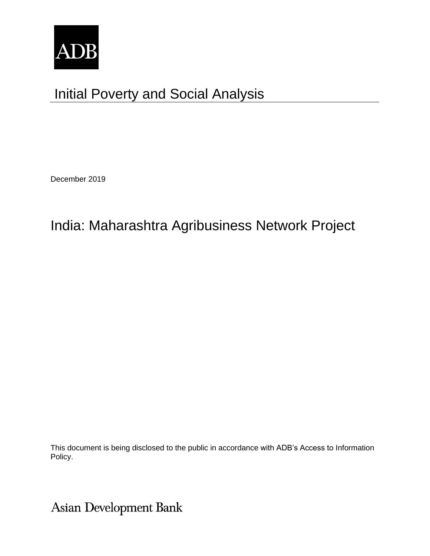

# Initial Poverty and Social Analysis

December 2019

## India: Maharashtra Agribusiness Network Project

This document is being disclosed to the public in accordance with ADB's Access to Information Policy.

Asian Development Bank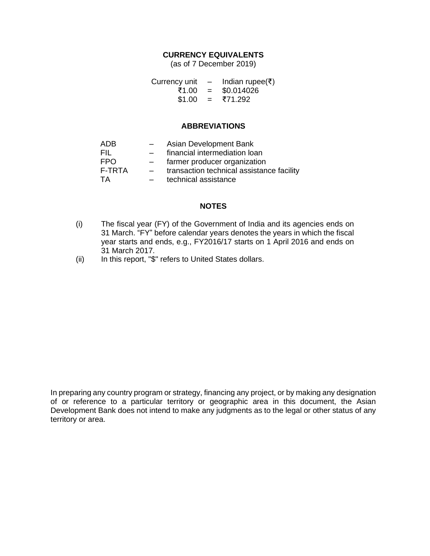## **CURRENCY EQUIVALENTS**

(as of 7 December 2019)

| Currency unit | $\overline{\phantom{0}}$ | Indian rupee(₹) |
|---------------|--------------------------|-----------------|
| ₹1.00         | $=$                      | \$0.014026      |
| \$1.00        | $\equiv$ $\equiv$        | ₹71.292         |

### **ABBREVIATIONS**

| ADB        | $-$                      | Asian Development Bank                    |
|------------|--------------------------|-------------------------------------------|
| FIL        | $\overline{\phantom{0}}$ | financial intermediation loan             |
| <b>FPO</b> | $\overline{\phantom{0}}$ | farmer producer organization              |
|            |                          |                                           |
| F-TRTA     | $-$                      | transaction technical assistance facility |
| TA         | $-$                      | technical assistance                      |

### **NOTES**

- (i) The fiscal year (FY) of the Government of India and its agencies ends on 31 March. "FY" before calendar years denotes the years in which the fiscal year starts and ends, e.g., FY2016/17 starts on 1 April 2016 and ends on 31 March 2017.
- (ii) In this report, "\$" refers to United States dollars.

In preparing any country program or strategy, financing any project, or by making any designation of or reference to a particular territory or geographic area in this document, the Asian Development Bank does not intend to make any judgments as to the legal or other status of any territory or area.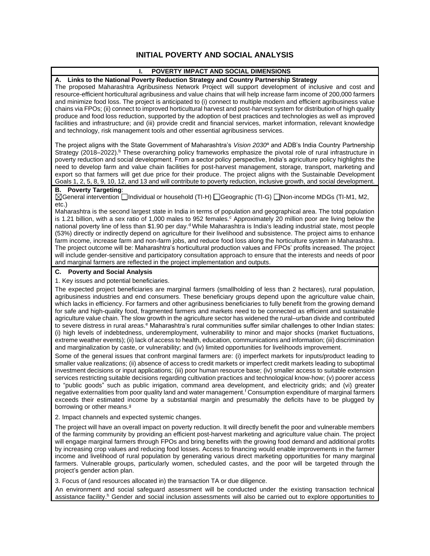## **INITIAL POVERTY AND SOCIAL ANALYSIS**

| ı.<br>POVERTY IMPACT AND SOCIAL DIMENSIONS                                                                                                                                                                                                                                                                                                                                                                                                                                                                                                                                                                                                                                                                                                                                                                                                                                                                                                                                                                                                                                                               |
|----------------------------------------------------------------------------------------------------------------------------------------------------------------------------------------------------------------------------------------------------------------------------------------------------------------------------------------------------------------------------------------------------------------------------------------------------------------------------------------------------------------------------------------------------------------------------------------------------------------------------------------------------------------------------------------------------------------------------------------------------------------------------------------------------------------------------------------------------------------------------------------------------------------------------------------------------------------------------------------------------------------------------------------------------------------------------------------------------------|
| A. Links to the National Poverty Reduction Strategy and Country Partnership Strategy<br>The proposed Maharashtra Agribusiness Network Project will support development of inclusive and cost and<br>resource-efficient horticultural agribusiness and value chains that will help increase farm income of 200,000 farmers<br>and minimize food loss. The project is anticipated to (i) connect to multiple modern and efficient agribusiness value<br>chains via FPOs; (ii) connect to improved horticultural harvest and post-harvest system for distribution of high quality<br>produce and food loss reduction, supported by the adoption of best practices and technologies as well as improved<br>facilities and infrastructure; and (iii) provide credit and financial services, market information, relevant knowledge<br>and technology, risk management tools and other essential agribusiness services.                                                                                                                                                                                        |
| The project aligns with the State Government of Maharashtra's Vision 2030 <sup>a</sup> and ADB's India Country Partnership<br>Strategy (2018–2022). <sup>b</sup> These overarching policy frameworks emphasize the pivotal role of rural infrastructure in<br>poverty reduction and social development. From a sector policy perspective, India's agriculture policy highlights the<br>need to develop farm and value chain facilities for post-harvest management, storage, transport, marketing and<br>export so that farmers will get due price for their produce. The project aligns with the Sustainable Development<br>Goals 1, 2, 5, 8, 9, 10, 12, and 13 and will contribute to poverty reduction, inclusive growth, and social development.                                                                                                                                                                                                                                                                                                                                                     |
| <b>B.</b> Poverty Targeting:<br>[1-H) General intervention intervidual or household (TI-H) and Geographic (TI-G) and Discome MDGs (TI-M1, M2,                                                                                                                                                                                                                                                                                                                                                                                                                                                                                                                                                                                                                                                                                                                                                                                                                                                                                                                                                            |
| $etc.$ )<br>Maharashtra is the second largest state in India in terms of population and geographical area. The total population<br>is 1.21 billion, with a sex ratio of 1,000 males to 952 females. <sup>c</sup> Approximately 20 million poor are living below the<br>national poverty line of less than \$1.90 per day. <sup>d</sup> While Maharashtra is India's leading industrial state, most people<br>(53%) directly or indirectly depend on agriculture for their livelihood and subsistence. The project aims to enhance<br>farm income, increase farm and non-farm jobs, and reduce food loss along the horticulture system in Maharashtra.<br>The project outcome will be: Maharashtra's horticultural production values and FPOs' profits increased. The project<br>will include gender-sensitive and participatory consultation approach to ensure that the interests and needs of poor<br>and marginal farmers are reflected in the project implementation and outputs.                                                                                                                    |
| <b>Poverty and Social Analysis</b><br>C.                                                                                                                                                                                                                                                                                                                                                                                                                                                                                                                                                                                                                                                                                                                                                                                                                                                                                                                                                                                                                                                                 |
| 1. Key issues and potential beneficiaries.                                                                                                                                                                                                                                                                                                                                                                                                                                                                                                                                                                                                                                                                                                                                                                                                                                                                                                                                                                                                                                                               |
| The expected project beneficiaries are marginal farmers (smallholding of less than 2 hectares), rural population,<br>agribusiness industries and end consumers. These beneficiary groups depend upon the agriculture value chain,<br>which lacks in efficiency. For farmers and other agribusiness beneficiaries to fully benefit from the growing demand<br>for safe and high-quality food, fragmented farmers and markets need to be connected as efficient and sustainable<br>agriculture value chain. The slow growth in the agriculture sector has widened the rural-urban divide and contributed<br>to severe distress in rural areas. <sup>e</sup> Maharashtra's rural communities suffer similar challenges to other Indian states:<br>(i) high levels of indebtedness, underemployment, vulnerability to minor and major shocks (market fluctuations,<br>extreme weather events); (ii) lack of access to health, education, communications and information; (iii) discrimination<br>and marginalization by caste, or vulnerability; and (iv) limited opportunities for livelihoods improvement. |
| Some of the general issues that confront marginal farmers are: (i) imperfect markets for inputs/product leading to<br>smaller value realizations; (ii) absence of access to credit markets or imperfect credit markets leading to suboptimal<br>investment decisions or input applications; (iii) poor human resource base; (iv) smaller access to suitable extension<br>services restricting suitable decisions regarding cultivation practices and technological know-how; (v) poorer access<br>to "public goods" such as public irrigation, command area development, and electricity grids; and (vi) greater<br>negative externalities from poor quality land and water management. <sup>f</sup> Consumption expenditure of marginal farmers<br>exceeds their estimated income by a substantial margin and presumably the deficits have to be plugged by<br>borrowing or other means. <sup>9</sup>                                                                                                                                                                                                   |
| 2. Impact channels and expected systemic changes.                                                                                                                                                                                                                                                                                                                                                                                                                                                                                                                                                                                                                                                                                                                                                                                                                                                                                                                                                                                                                                                        |
| The project will have an overall impact on poverty reduction. It will directly benefit the poor and vulnerable members<br>of the farming community by providing an efficient post-baryest marketing and agriculture value chain. The project                                                                                                                                                                                                                                                                                                                                                                                                                                                                                                                                                                                                                                                                                                                                                                                                                                                             |

of the farming community by providing an efficient post-harvest marketing and agriculture value chain. The project will engage marginal farmers through FPOs and bring benefits with the growing food demand and additional profits by increasing crop values and reducing food losses. Access to financing would enable improvements in the farmer income and livelihood of rural population by generating various direct marketing opportunities for many marginal farmers. Vulnerable groups, particularly women, scheduled castes, and the poor will be targeted through the project's gender action plan.

3. Focus of (and resources allocated in) the transaction TA or due diligence.

An environment and social safeguard assessment will be conducted under the existing transaction technical assistance facility.<sup>h</sup> Gender and social inclusion assessments will also be carried out to explore opportunities to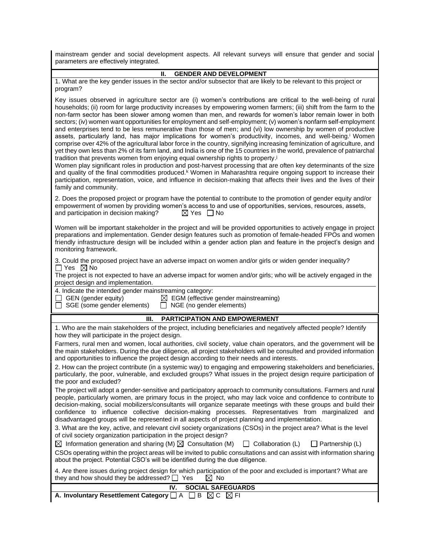mainstream gender and social development aspects. All relevant surveys will ensure that gender and social parameters are effectively integrated.

#### **II. GENDER AND DEVELOPMENT**

1. What are the key gender issues in the sector and/or subsector that are likely to be relevant to this project or program?

Key issues observed in agriculture sector are (i) women's contributions are critical to the well-being of rural households; (ii) room for large productivity increases by empowering women farmers; (iii) shift from the farm to the non-farm sector has been slower among women than men, and rewards for women's labor remain lower in both sectors; (iv) women want opportunities for employment and self-employment; (v) women's nonfarm self-employment and enterprises tend to be less remunerative than those of men; and (vi) low ownership by women of productive assets, particularly land, has major implications for women's productivity, incomes, and well-being. <sup>i</sup> Women comprise over 42% of the agricultural labor force in the country, signifying increasing feminization of agriculture, and yet they own less than 2% of its farm land, and India is one of the 15 countries in the world, prevalence of patriarchal tradition that prevents women from enjoying equal ownership rights to property.<sup>j</sup>

Women play significant roles in production and post-harvest processing that are often key determinants of the size and quality of the final commodities produced.<sup>k</sup> Women in Maharashtra require ongoing support to increase their participation, representation, voice, and influence in decision-making that affects their lives and the lives of their family and community.

|                                       | 2. Does the proposed project or program have the potential to contribute to the promotion of gender equity and/or |
|---------------------------------------|-------------------------------------------------------------------------------------------------------------------|
|                                       | empowerment of women by providing women's access to and use of opportunities, services, resources, assets,        |
| and participation in decision making? | ⊠ Yes ∏No                                                                                                         |

Women will be important stakeholder in the project and will be provided opportunities to actively engage in project preparations and implementation. Gender design features such as promotion of female-headed FPOs and women friendly infrastructure design will be included within a gender action plan and feature in the project's design and monitoring framework.

3. Could the proposed project have an adverse impact on women and/or girls or widen gender inequality?  $\Box$  Yes  $\boxtimes$  No

The project is not expected to have an adverse impact for women and/or girls; who will be actively engaged in the project design and implementation.

4. Indicate the intended gender mainstreaming category:

 $\Box$  GEN (gender equity)  $\Box$  EGM (effective gender mainstreaming)

 $\Box$  SGE (some gender elements)  $\Box$  NGE (no gender elements)

#### **III. PARTICIPATION AND EMPOWERMENT**

1. Who are the main stakeholders of the project, including beneficiaries and negatively affected people? Identify how they will participate in the project design.

Farmers, rural men and women, local authorities, civil society, value chain operators, and the government will be the main stakeholders. During the due diligence, all project stakeholders will be consulted and provided information and opportunities to influence the project design according to their needs and interests.

2. How can the project contribute (in a systemic way) to engaging and empowering stakeholders and beneficiaries, particularly, the poor, vulnerable, and excluded groups? What issues in the project design require participation of the poor and excluded?

The project will adopt a gender-sensitive and participatory approach to community consultations. Farmers and rural people, particularly women, are primary focus in the project, who may lack voice and confidence to contribute to decision-making, social mobilizers/consultants will organize separate meetings with these groups and build their confidence to influence collective decision-making processes. Representatives from marginalized and disadvantaged groups will be represented in all aspects of project planning and implementation.

3. What are the key, active, and relevant civil society organizations (CSOs) in the project area? What is the level of civil society organization participation in the project design?

| $\boxtimes$ Information generation and sharing (M) $\boxtimes$ Consultation (M) |  | $\Box$ Collaboration (L) $\Box$ Partnership (L) |  |
|---------------------------------------------------------------------------------|--|-------------------------------------------------|--|
|---------------------------------------------------------------------------------|--|-------------------------------------------------|--|

CSOs operating within the project areas will be invited to public consultations and can assist with information sharing about the project. Potential CSO's will be identified during the due diligence.

4. Are there issues during project design for which participation of the poor and excluded is important? What are they and how should they be addressed?  $\Box$  Yes  $\Box$  No

|                                                                                     |  | <b>SOCIAL SAFEGUARDS</b> |  |
|-------------------------------------------------------------------------------------|--|--------------------------|--|
| A. Involuntary Resettlement Category $\Box$ A $\Box$ B $\boxtimes$ C $\boxtimes$ FI |  |                          |  |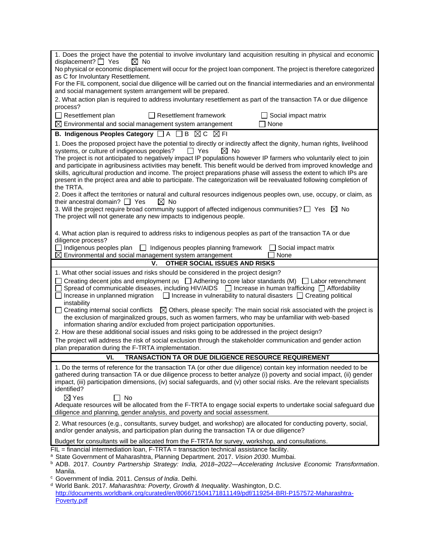| 1. Does the project have the potential to involve involuntary land acquisition resulting in physical and economic                                                                                                                                                                                                                                                                                                                                                                                                                                                                                                                                                                             |
|-----------------------------------------------------------------------------------------------------------------------------------------------------------------------------------------------------------------------------------------------------------------------------------------------------------------------------------------------------------------------------------------------------------------------------------------------------------------------------------------------------------------------------------------------------------------------------------------------------------------------------------------------------------------------------------------------|
| displacement? $\Box$ Yes<br>$\boxtimes$ No<br>No physical or economic displacement will occur for the project loan component. The project is therefore categorized                                                                                                                                                                                                                                                                                                                                                                                                                                                                                                                            |
| as C for Involuntary Resettlement.                                                                                                                                                                                                                                                                                                                                                                                                                                                                                                                                                                                                                                                            |
| For the FIL component, social due diligence will be carried out on the financial intermediaries and an environmental<br>and social management system arrangement will be prepared.                                                                                                                                                                                                                                                                                                                                                                                                                                                                                                            |
| 2. What action plan is required to address involuntary resettlement as part of the transaction TA or due diligence<br>process?                                                                                                                                                                                                                                                                                                                                                                                                                                                                                                                                                                |
| $\Box$ Resettlement plan<br>Resettlement framework<br>$\Box$ Social impact matrix                                                                                                                                                                                                                                                                                                                                                                                                                                                                                                                                                                                                             |
| $\boxtimes$ Environmental and social management system arrangement<br>None                                                                                                                                                                                                                                                                                                                                                                                                                                                                                                                                                                                                                    |
| B. Indigenous Peoples Category □ A □ B 図 C 図 FI                                                                                                                                                                                                                                                                                                                                                                                                                                                                                                                                                                                                                                               |
| 1. Does the proposed project have the potential to directly or indirectly affect the dignity, human rights, livelihood<br>systems, or culture of indigenous peoples?<br>$\Box$ Yes<br>$\boxtimes$ No<br>The project is not anticipated to negatively impact IP populations however IP farmers who voluntarily elect to join<br>and participate in agribusiness activities may benefit. This benefit would be derived from improved knowledge and<br>skills, agricultural production and income. The project preparations phase will assess the extent to which IPs are<br>present in the project area and able to participate. The categorization will be reevaluated following completion of |
| the TRTA.<br>2. Does it affect the territories or natural and cultural resources indigenous peoples own, use, occupy, or claim, as                                                                                                                                                                                                                                                                                                                                                                                                                                                                                                                                                            |
| their ancestral domain? $\Box$ Yes<br>$\boxtimes$ No<br>3. Will the project require broad community support of affected indigenous communities? $\Box$ Yes $\boxtimes$ No<br>The project will not generate any new impacts to indigenous people.                                                                                                                                                                                                                                                                                                                                                                                                                                              |
|                                                                                                                                                                                                                                                                                                                                                                                                                                                                                                                                                                                                                                                                                               |
| 4. What action plan is required to address risks to indigenous peoples as part of the transaction TA or due<br>diligence process?                                                                                                                                                                                                                                                                                                                                                                                                                                                                                                                                                             |
| $\Box$ Indigenous peoples plan<br>Indigenous peoples planning framework<br>$\perp$<br>$\Box$ Social impact matrix<br>⊠<br>Environmental and social management system arrangement<br>None                                                                                                                                                                                                                                                                                                                                                                                                                                                                                                      |
| OTHER SOCIAL ISSUES AND RISKS<br>۷.                                                                                                                                                                                                                                                                                                                                                                                                                                                                                                                                                                                                                                                           |
| 1. What other social issues and risks should be considered in the project design?                                                                                                                                                                                                                                                                                                                                                                                                                                                                                                                                                                                                             |
| Creating decent jobs and employment (M) $\Box$ Adhering to core labor standards (M) $\Box$ Labor retrenchment                                                                                                                                                                                                                                                                                                                                                                                                                                                                                                                                                                                 |
| Spread of communicable diseases, including HIV/AIDS $\Box$ Increase in human trafficking $\Box$ Affordability<br>$\Box$ Increase in unplanned migration $\Box$ Increase in vulnerability to natural disasters $\Box$ Creating political<br>instability                                                                                                                                                                                                                                                                                                                                                                                                                                        |
| $\Box$ Creating internal social conflicts $\Box$ Others, please specify: The main social risk associated with the project is<br>the exclusion of marginalized groups, such as women farmers, who may be unfamiliar with web-based<br>information sharing and/or excluded from project participation opportunities.                                                                                                                                                                                                                                                                                                                                                                            |
| 2. How are these additional social issues and risks going to be addressed in the project design?                                                                                                                                                                                                                                                                                                                                                                                                                                                                                                                                                                                              |
| The project will address the risk of social exclusion through the stakeholder communication and gender action<br>plan preparation during the F-TRTA implementation.                                                                                                                                                                                                                                                                                                                                                                                                                                                                                                                           |
| VI.<br>TRANSACTION TA OR DUE DILIGENCE RESOURCE REQUIREMENT                                                                                                                                                                                                                                                                                                                                                                                                                                                                                                                                                                                                                                   |
| 1. Do the terms of reference for the transaction TA (or other due diligence) contain key information needed to be<br>gathered during transaction TA or due diligence process to better analyze (i) poverty and social impact, (ii) gender<br>impact, (iii) participation dimensions, (iv) social safeguards, and (v) other social risks. Are the relevant specialists<br>identified?                                                                                                                                                                                                                                                                                                          |
| $\boxtimes$ Yes<br><b>No</b><br>Adequate resources will be allocated from the F-TRTA to engage social experts to undertake social safeguard due                                                                                                                                                                                                                                                                                                                                                                                                                                                                                                                                               |
| diligence and planning, gender analysis, and poverty and social assessment.                                                                                                                                                                                                                                                                                                                                                                                                                                                                                                                                                                                                                   |
| 2. What resources (e.g., consultants, survey budget, and workshop) are allocated for conducting poverty, social,<br>and/or gender analysis, and participation plan during the transaction TA or due diligence?                                                                                                                                                                                                                                                                                                                                                                                                                                                                                |
| Budget for consultants will be allocated from the F-TRTA for survey, workshop, and consultations.                                                                                                                                                                                                                                                                                                                                                                                                                                                                                                                                                                                             |
| FIL = financial intermediation loan, F-TRTA = transaction technical assistance facility.<br>a State Government of Maharashtra, Planning Department. 2017. Vision 2030. Mumbai.                                                                                                                                                                                                                                                                                                                                                                                                                                                                                                                |
| <sup>b</sup> ADB. 2017. Country Partnership Strategy: India, 2018–2022—Accelerating Inclusive Economic Transformation.<br>Manila.                                                                                                                                                                                                                                                                                                                                                                                                                                                                                                                                                             |
| <sup>c</sup> Government of India. 2011. Census of India. Delhi.                                                                                                                                                                                                                                                                                                                                                                                                                                                                                                                                                                                                                               |
| <sup>d</sup> World Bank. 2017. Maharashtra: Poverty, Growth & Inequality. Washington, D.C.<br>http://documents.worldbank.org/curated/en/806671504171811149/pdf/119254-BRI-P157572-Maharashtra-                                                                                                                                                                                                                                                                                                                                                                                                                                                                                                |